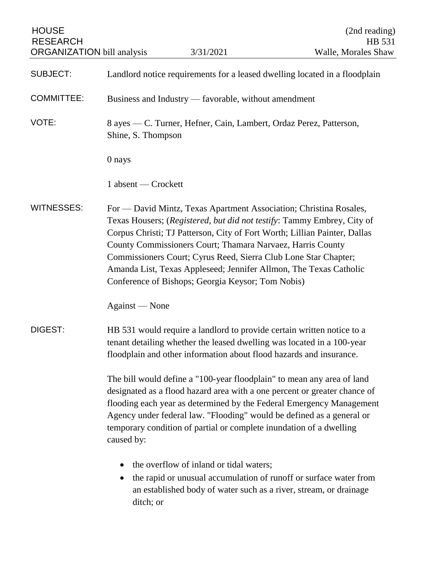| <b>HOUSE</b><br><b>RESEARCH</b><br><b>ORGANIZATION</b> bill analysis |                                                                            | 3/31/2021                                                                                                                                                                                                                                                                                                                                                                                                  | (2nd reading)<br>HB 531<br>Walle, Morales Shaw                                                                                                    |
|----------------------------------------------------------------------|----------------------------------------------------------------------------|------------------------------------------------------------------------------------------------------------------------------------------------------------------------------------------------------------------------------------------------------------------------------------------------------------------------------------------------------------------------------------------------------------|---------------------------------------------------------------------------------------------------------------------------------------------------|
| <b>SUBJECT:</b>                                                      | Landlord notice requirements for a leased dwelling located in a floodplain |                                                                                                                                                                                                                                                                                                                                                                                                            |                                                                                                                                                   |
| <b>COMMITTEE:</b>                                                    | Business and Industry — favorable, without amendment                       |                                                                                                                                                                                                                                                                                                                                                                                                            |                                                                                                                                                   |
| VOTE:                                                                | Shine, S. Thompson                                                         | 8 ayes — C. Turner, Hefner, Cain, Lambert, Ordaz Perez, Patterson,                                                                                                                                                                                                                                                                                                                                         |                                                                                                                                                   |
|                                                                      | 0 nays                                                                     |                                                                                                                                                                                                                                                                                                                                                                                                            |                                                                                                                                                   |
|                                                                      | 1 absent — Crockett                                                        |                                                                                                                                                                                                                                                                                                                                                                                                            |                                                                                                                                                   |
| <b>WITNESSES:</b>                                                    |                                                                            | For — David Mintz, Texas Apartment Association; Christina Rosales,<br>Corpus Christi; TJ Patterson, City of Fort Worth; Lillian Painter, Dallas<br>County Commissioners Court; Thamara Narvaez, Harris County<br>Commissioners Court; Cyrus Reed, Sierra Club Lone Star Chapter;<br>Amanda List, Texas Appleseed; Jennifer Allmon, The Texas Catholic<br>Conference of Bishops; Georgia Keysor; Tom Nobis) | Texas Housers; (Registered, but did not testify: Tammy Embrey, City of                                                                            |
|                                                                      | Against — None                                                             |                                                                                                                                                                                                                                                                                                                                                                                                            |                                                                                                                                                   |
| <b>DIGEST:</b>                                                       |                                                                            | HB 531 would require a landlord to provide certain written notice to a<br>tenant detailing whether the leased dwelling was located in a 100-year<br>floodplain and other information about flood hazards and insurance.                                                                                                                                                                                    |                                                                                                                                                   |
|                                                                      | caused by:                                                                 | The bill would define a "100-year floodplain" to mean any area of land<br>Agency under federal law. "Flooding" would be defined as a general or<br>temporary condition of partial or complete inundation of a dwelling                                                                                                                                                                                     | designated as a flood hazard area with a one percent or greater chance of<br>flooding each year as determined by the Federal Emergency Management |
|                                                                      | ditch; or                                                                  | the overflow of inland or tidal waters;<br>an established body of water such as a river, stream, or drainage                                                                                                                                                                                                                                                                                               | the rapid or unusual accumulation of runoff or surface water from                                                                                 |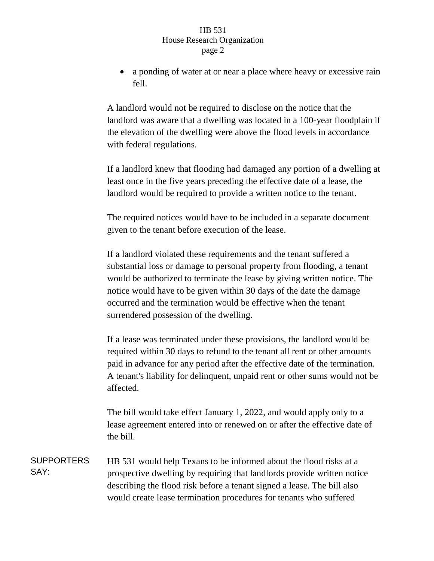## HB 531 House Research Organization page 2

 a ponding of water at or near a place where heavy or excessive rain fell.

A landlord would not be required to disclose on the notice that the landlord was aware that a dwelling was located in a 100-year floodplain if the elevation of the dwelling were above the flood levels in accordance with federal regulations.

If a landlord knew that flooding had damaged any portion of a dwelling at least once in the five years preceding the effective date of a lease, the landlord would be required to provide a written notice to the tenant.

The required notices would have to be included in a separate document given to the tenant before execution of the lease.

If a landlord violated these requirements and the tenant suffered a substantial loss or damage to personal property from flooding, a tenant would be authorized to terminate the lease by giving written notice. The notice would have to be given within 30 days of the date the damage occurred and the termination would be effective when the tenant surrendered possession of the dwelling.

If a lease was terminated under these provisions, the landlord would be required within 30 days to refund to the tenant all rent or other amounts paid in advance for any period after the effective date of the termination. A tenant's liability for delinquent, unpaid rent or other sums would not be affected.

The bill would take effect January 1, 2022, and would apply only to a lease agreement entered into or renewed on or after the effective date of the bill.

SUPPORTERS SAY: HB 531 would help Texans to be informed about the flood risks at a prospective dwelling by requiring that landlords provide written notice describing the flood risk before a tenant signed a lease. The bill also would create lease termination procedures for tenants who suffered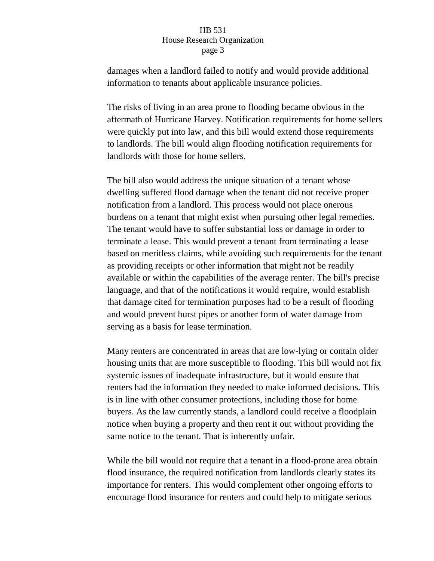## HB 531 House Research Organization page 3

damages when a landlord failed to notify and would provide additional information to tenants about applicable insurance policies.

The risks of living in an area prone to flooding became obvious in the aftermath of Hurricane Harvey. Notification requirements for home sellers were quickly put into law, and this bill would extend those requirements to landlords. The bill would align flooding notification requirements for landlords with those for home sellers.

The bill also would address the unique situation of a tenant whose dwelling suffered flood damage when the tenant did not receive proper notification from a landlord. This process would not place onerous burdens on a tenant that might exist when pursuing other legal remedies. The tenant would have to suffer substantial loss or damage in order to terminate a lease. This would prevent a tenant from terminating a lease based on meritless claims, while avoiding such requirements for the tenant as providing receipts or other information that might not be readily available or within the capabilities of the average renter. The bill's precise language, and that of the notifications it would require, would establish that damage cited for termination purposes had to be a result of flooding and would prevent burst pipes or another form of water damage from serving as a basis for lease termination.

Many renters are concentrated in areas that are low-lying or contain older housing units that are more susceptible to flooding. This bill would not fix systemic issues of inadequate infrastructure, but it would ensure that renters had the information they needed to make informed decisions. This is in line with other consumer protections, including those for home buyers. As the law currently stands, a landlord could receive a floodplain notice when buying a property and then rent it out without providing the same notice to the tenant. That is inherently unfair.

While the bill would not require that a tenant in a flood-prone area obtain flood insurance, the required notification from landlords clearly states its importance for renters. This would complement other ongoing efforts to encourage flood insurance for renters and could help to mitigate serious